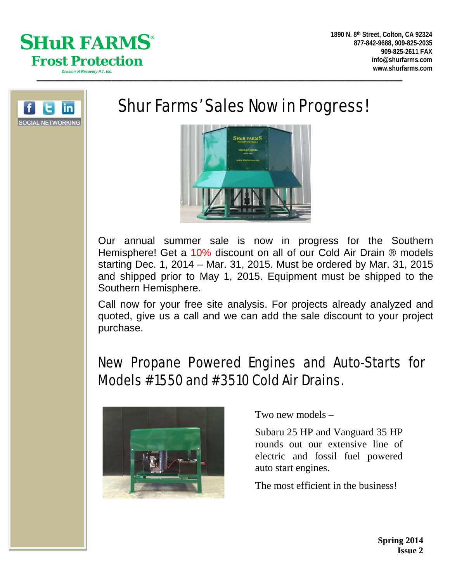



# Shur Farms' Sales Now in Progress!



Our annual summer sale is now in progress for the Southern Hemisphere! Get a 10% discount on all of our Cold Air Drain ® models starting Dec. 1, 2014 – Mar. 31, 2015. Must be ordered by Mar. 31, 2015 and shipped prior to May 1, 2015. Equipment must be shipped to the Southern Hemisphere.

Call now for your free site analysis. For projects already analyzed and quoted, give us a call and we can add the sale discount to your project purchase.

## New Propane Powered Engines and Auto-Starts for Models #1550 and #3510 Cold Air Drains.



Two new models –

Subaru 25 HP and Vanguard 35 HP rounds out our extensive line of electric and fossil fuel powered auto start engines.

The most efficient in the business!